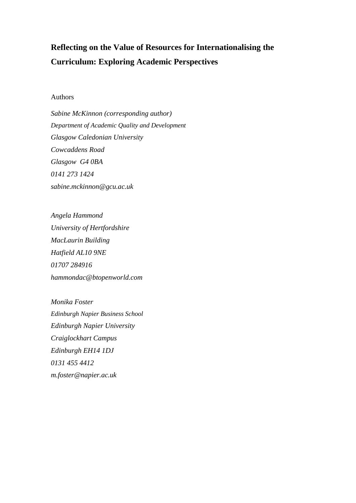# **Reflecting on the Value of Resources for Internationalising the Curriculum: Exploring Academic Perspectives**

## Authors

*Sabine McKinnon (corresponding author) Department of Academic Quality and Development Glasgow Caledonian University Cowcaddens Road Glasgow G4 0BA 0141 273 1424 sabine.mckinnon@gcu.ac.uk*

*Angela Hammond University of Hertfordshire MacLaurin Building Hatfield AL10 9NE 01707 284916 hammondac@btopenworld.com*

*Monika Foster Edinburgh Napier Business School Edinburgh Napier University Craiglockhart Campus Edinburgh EH14 1DJ 0131 455 4412 m.foster@napier.ac.uk*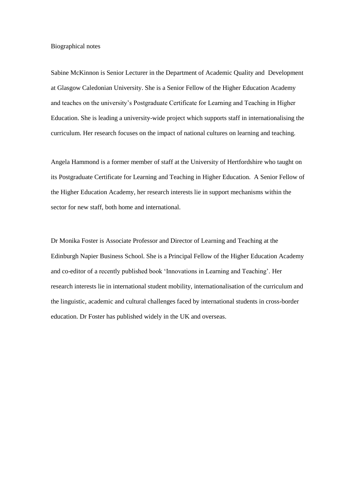#### Biographical notes

Sabine McKinnon is Senior Lecturer in the Department of Academic Quality and Development at Glasgow Caledonian University. She is a Senior Fellow of the Higher Education Academy and teaches on the university's Postgraduate Certificate for Learning and Teaching in Higher Education. She is leading a university-wide project which supports staff in internationalising the curriculum. Her research focuses on the impact of national cultures on learning and teaching.

Angela Hammond is a former member of staff at the University of Hertfordshire who taught on its Postgraduate Certificate for Learning and Teaching in Higher Education. A Senior Fellow of the Higher Education Academy, her research interests lie in support mechanisms within the sector for new staff, both home and international.

Dr Monika Foster is Associate Professor and Director of Learning and Teaching at the Edinburgh Napier Business School. She is a Principal Fellow of the Higher Education Academy and co-editor of a recently published book 'Innovations in Learning and Teaching'. Her research interests lie in international student mobility, internationalisation of the curriculum and the linguistic, academic and cultural challenges faced by international students in cross-border education. Dr Foster has published widely in the UK and overseas.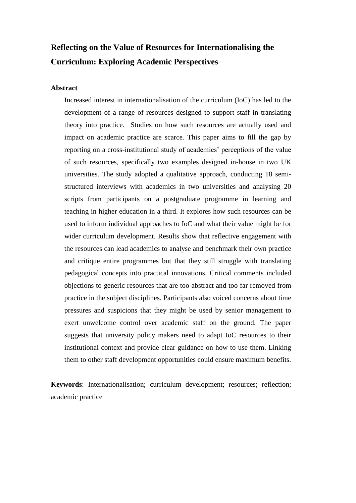## **Reflecting on the Value of Resources for Internationalising the Curriculum: Exploring Academic Perspectives**

## **Abstract**

Increased interest in internationalisation of the curriculum (IoC) has led to the development of a range of resources designed to support staff in translating theory into practice. Studies on how such resources are actually used and impact on academic practice are scarce. This paper aims to fill the gap by reporting on a cross-institutional study of academics' perceptions of the value of such resources, specifically two examples designed in-house in two UK universities. The study adopted a qualitative approach, conducting 18 semistructured interviews with academics in two universities and analysing 20 scripts from participants on a postgraduate programme in learning and teaching in higher education in a third. It explores how such resources can be used to inform individual approaches to IoC and what their value might be for wider curriculum development. Results show that reflective engagement with the resources can lead academics to analyse and benchmark their own practice and critique entire programmes but that they still struggle with translating pedagogical concepts into practical innovations. Critical comments included objections to generic resources that are too abstract and too far removed from practice in the subject disciplines. Participants also voiced concerns about time pressures and suspicions that they might be used by senior management to exert unwelcome control over academic staff on the ground. The paper suggests that university policy makers need to adapt IoC resources to their institutional context and provide clear guidance on how to use them. Linking them to other staff development opportunities could ensure maximum benefits.

**Keywords**: Internationalisation; curriculum development; resources; reflection; academic practice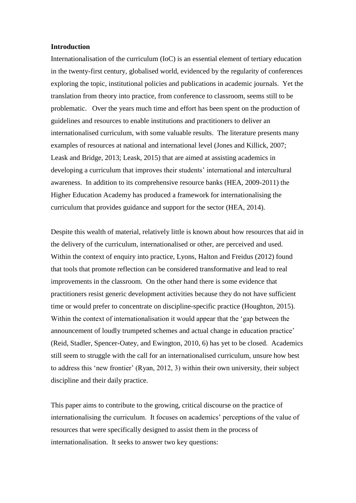#### **Introduction**

Internationalisation of the curriculum (IoC) is an essential element of tertiary education in the twenty-first century, globalised world, evidenced by the regularity of conferences exploring the topic, institutional policies and publications in academic journals. Yet the translation from theory into practice, from conference to classroom, seems still to be problematic. Over the years much time and effort has been spent on the production of guidelines and resources to enable institutions and practitioners to deliver an internationalised curriculum, with some valuable results. The literature presents many examples of resources at national and international level (Jones and Killick, 2007; Leask and Bridge, 2013; Leask, 2015) that are aimed at assisting academics in developing a curriculum that improves their students' international and intercultural awareness. In addition to its comprehensive resource banks (HEA, 2009-2011) the Higher Education Academy has produced a framework for internationalising the curriculum that provides guidance and support for the sector (HEA, 2014).

Despite this wealth of material, relatively little is known about how resources that aid in the delivery of the curriculum, internationalised or other, are perceived and used. Within the context of enquiry into practice, Lyons, Halton and Freidus (2012) found that tools that promote reflection can be considered transformative and lead to real improvements in the classroom. On the other hand there is some evidence that practitioners resist generic development activities because they do not have sufficient time or would prefer to concentrate on discipline-specific practice (Houghton, 2015). Within the context of internationalisation it would appear that the 'gap between the announcement of loudly trumpeted schemes and actual change in education practice' (Reid, Stadler, Spencer-Oatey, and Ewington, 2010, 6) has yet to be closed. Academics still seem to struggle with the call for an internationalised curriculum, unsure how best to address this 'new frontier' (Ryan, 2012, 3) within their own university, their subject discipline and their daily practice.

This paper aims to contribute to the growing, critical discourse on the practice of internationalising the curriculum. It focuses on academics' perceptions of the value of resources that were specifically designed to assist them in the process of internationalisation. It seeks to answer two key questions: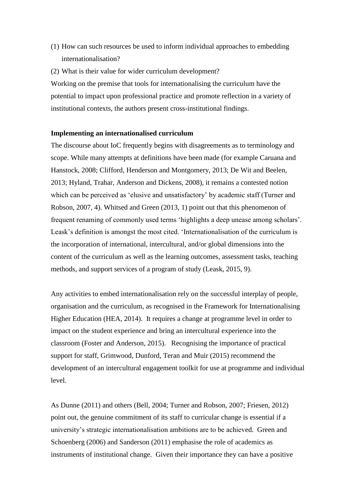- (1) How can such resources be used to inform individual approaches to embedding internationalisation?
- (2) What is their value for wider curriculum development?

Working on the premise that tools for internationalising the curriculum have the potential to impact upon professional practice and promote reflection in a variety of institutional contexts, the authors present cross-institutional findings.

#### **Implementing an internationalised curriculum**

The discourse about IoC frequently begins with disagreements as to terminology and scope. While many attempts at definitions have been made (for example Caruana and Hanstock, 2008; Clifford, Henderson and Montgomery, 2013; De Wit and Beelen, 2013; Hyland, Trahar, Anderson and Dickens, 2008), it remains a contested notion which can be perceived as 'elusive and unsatisfactory' by academic staff (Turner and Robson, 2007, 4). Whitsed and Green (2013, 1) point out that this phenomenon of frequent renaming of commonly used terms 'highlights a deep unease among scholars'. Leask's definition is amongst the most cited. 'Internationalisation of the curriculum is the incorporation of international, intercultural, and/or global dimensions into the content of the curriculum as well as the learning outcomes, assessment tasks, teaching methods, and support services of a program of study (Leask, 2015, 9).

Any activities to embed internationalisation rely on the successful interplay of people, organisation and the curriculum, as recognised in the Framework for Internationalising Higher Education (HEA, 2014). It requires a change at programme level in order to impact on the student experience and bring an intercultural experience into the classroom (Foster and Anderson, 2015). Recognising the importance of practical support for staff, Grimwood, Dunford, Teran and Muir (2015) recommend the development of an intercultural engagement toolkit for use at programme and individual level.

As Dunne (2011) and others (Bell, 2004; Turner and Robson, 2007; Friesen, 2012) point out, the genuine commitment of its staff to curricular change is essential if a university's strategic internationalisation ambitions are to be achieved. Green and Schoenberg (2006) and Sanderson (2011) emphasise the role of academics as instruments of institutional change. Given their importance they can have a positive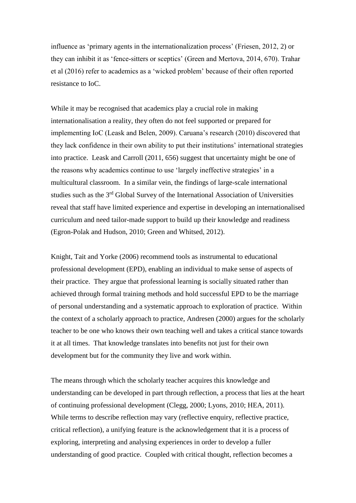influence as 'primary agents in the internationalization process' (Friesen, 2012, 2) or they can inhibit it as 'fence-sitters or sceptics' (Green and Mertova, 2014, 670). Trahar et al (2016) refer to academics as a 'wicked problem' because of their often reported resistance to IoC.

While it may be recognised that academics play a crucial role in making internationalisation a reality, they often do not feel supported or prepared for implementing IoC (Leask and Belen, 2009). Caruana's research (2010) discovered that they lack confidence in their own ability to put their institutions' international strategies into practice. Leask and Carroll (2011, 656) suggest that uncertainty might be one of the reasons why academics continue to use 'largely ineffective strategies' in a multicultural classroom. In a similar vein, the findings of large-scale international studies such as the 3<sup>rd</sup> Global Survey of the International Association of Universities reveal that staff have limited experience and expertise in developing an internationalised curriculum and need tailor-made support to build up their knowledge and readiness (Egron-Polak and Hudson, 2010; Green and Whitsed, 2012).

Knight, Tait and Yorke (2006) recommend tools as instrumental to educational professional development (EPD), enabling an individual to make sense of aspects of their practice. They argue that professional learning is socially situated rather than achieved through formal training methods and hold successful EPD to be the marriage of personal understanding and a systematic approach to exploration of practice. Within the context of a scholarly approach to practice, Andresen (2000) argues for the scholarly teacher to be one who knows their own teaching well and takes a critical stance towards it at all times. That knowledge translates into benefits not just for their own development but for the community they live and work within.

The means through which the scholarly teacher acquires this knowledge and understanding can be developed in part through reflection, a process that lies at the heart of continuing professional development (Clegg, 2000; Lyons, 2010; HEA, 2011). While terms to describe reflection may vary (reflective enquiry, reflective practice, critical reflection), a unifying feature is the acknowledgement that it is a process of exploring, interpreting and analysing experiences in order to develop a fuller understanding of good practice. Coupled with critical thought, reflection becomes a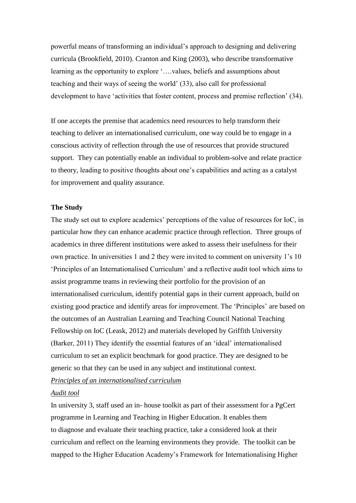powerful means of transforming an individual's approach to designing and delivering curricula (Brookfield, 2010). Cranton and King (2003), who describe transformative learning as the opportunity to explore '….values, beliefs and assumptions about teaching and their ways of seeing the world' (33), also call for professional development to have 'activities that foster content, process and premise reflection' (34).

If one accepts the premise that academics need resources to help transform their teaching to deliver an internationalised curriculum, one way could be to engage in a conscious activity of reflection through the use of resources that provide structured support. They can potentially enable an individual to problem-solve and relate practice to theory, leading to positive thoughts about one's capabilities and acting as a catalyst for improvement and quality assurance.

## **The Study**

The study set out to explore academics' perceptions of the value of resources for IoC, in particular how they can enhance academic practice through reflection.Three groups of academics in three different institutions were asked to assess their usefulness for their own practice. In universities 1 and 2 they were invited to comment on university 1's 10 'Principles of an Internationalised Curriculum' and a reflective audit tool which aims to assist programme teams in reviewing their portfolio for the provision of an internationalised curriculum, identify potential gaps in their current approach, build on existing good practice and identify areas for improvement. The 'Principles' are based on the outcomes of an Australian Learning and Teaching Council National Teaching Fellowship on IoC (Leask, 2012) and materials developed by Griffith University (Barker, 2011) They identify the essential features of an 'ideal' internationalised curriculum to set an explicit benchmark for good practice. They are designed to be generic so that they can be used in any subject and institutional context.

*[Principles of an internationalised curriculum](http://bit.ly/2kWiL9a)*

## *[Audit tool](http://bit.ly/2llSxOy)*

In university 3, staff used an in- house toolkit as part of their assessment for a PgCert programme in Learning and Teaching in Higher Education. It enables them to diagnose and evaluate their teaching practice, take a considered look at their curriculum and reflect on the learning environments they provide. The toolkit can be mapped to the Higher Education Academy's Framework for Internationalising Higher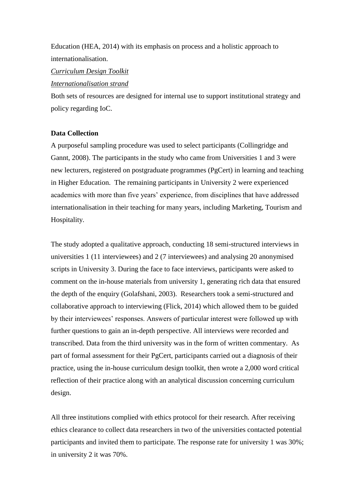Education (HEA, 2014) with its emphasis on process and a holistic approach to internationalisation.

## *[Curriculum Design Toolkit](http://www.studynet2.herts.ac.uk/ltic.nsf/Teaching+Documents?OpenView&count=9999&restricttocategory=Guidance,+Resources+and+Toolkits/Curriculum+design+toolkit)*

#### *[Internationalisation strand](http://www.studynet2.herts.ac.uk/ltic.nsf/Teaching+Documents?OpenView&count=9999&restricttocategory=Guidance,+Resources+and+Toolkits/Curriculum+design+toolkits/Internationalisation+toolkit)*

Both sets of resources are designed for internal use to support institutional strategy and policy regarding IoC.

#### **Data Collection**

A purposeful sampling procedure was used to select participants (Collingridge and Gannt, 2008). The participants in the study who came from Universities 1 and 3 were new lecturers, registered on postgraduate programmes (PgCert) in learning and teaching in Higher Education. The remaining participants in University 2 were experienced academics with more than five years' experience, from disciplines that have addressed internationalisation in their teaching for many years, including Marketing, Tourism and Hospitality.

The study adopted a qualitative approach, conducting 18 semi-structured interviews in universities 1 (11 interviewees) and 2 (7 interviewees) and analysing 20 anonymised scripts in University 3. During the face to face interviews, participants were asked to comment on the in-house materials from university 1, generating rich data that ensured the depth of the enquiry (Golafshani, 2003). Researchers took a semi-structured and collaborative approach to interviewing (Flick, 2014) which allowed them to be guided by their interviewees' responses. Answers of particular interest were followed up with further questions to gain an in-depth perspective. All interviews were recorded and transcribed. Data from the third university was in the form of written commentary. As part of formal assessment for their PgCert, participants carried out a diagnosis of their practice, using the in-house curriculum design toolkit, then wrote a 2,000 word critical reflection of their practice along with an analytical discussion concerning curriculum design.

All three institutions complied with ethics protocol for their research. After receiving ethics clearance to collect data researchers in two of the universities contacted potential participants and invited them to participate. The response rate for university 1 was 30%; in university 2 it was 70%.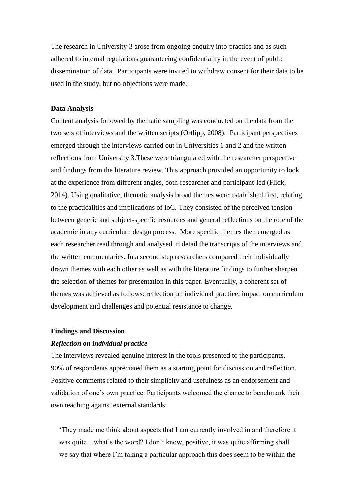The research in University 3 arose from ongoing enquiry into practice and as such adhered to internal regulations guaranteeing confidentiality in the event of public dissemination of data. Participants were invited to withdraw consent for their data to be used in the study, but no objections were made.

#### **Data Analysis**

Content analysis followed by thematic sampling was conducted on the data from the two sets of interviews and the written scripts (Ortlipp, 2008). Participant perspectives emerged through the interviews carried out in Universities 1 and 2 and the written reflections from University 3.These were triangulated with the researcher perspective and findings from the literature review. This approach provided an opportunity to look at the experience from different angles, both researcher and participant-led (Flick, 2014). Using qualitative, thematic analysis broad themes were established first, relating to the practicalities and implications of IoC. They consisted of the perceived tension between generic and subject-specific resources and general reflections on the role of the academic in any curriculum design process. More specific themes then emerged as each researcher read through and analysed in detail the transcripts of the interviews and the written commentaries. In a second step researchers compared their individually drawn themes with each other as well as with the literature findings to further sharpen the selection of themes for presentation in this paper. Eventually, a coherent set of themes was achieved as follows: reflection on individual practice; impact on curriculum development and challenges and potential resistance to change.

#### **Findings and Discussion**

#### *Reflection on individual practice*

The interviews revealed genuine interest in the tools presented to the participants. 90% of respondents appreciated them as a starting point for discussion and reflection. Positive comments related to their simplicity and usefulness as an endorsement and validation of one's own practice. Participants welcomed the chance to benchmark their own teaching against external standards:

'They made me think about aspects that I am currently involved in and therefore it was quite…what's the word? I don't know, positive, it was quite affirming shall we say that where I'm taking a particular approach this does seem to be within the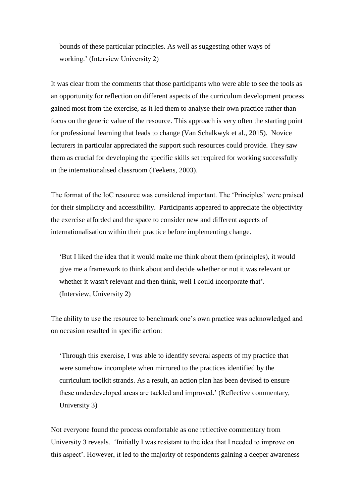bounds of these particular principles. As well as suggesting other ways of working.' (Interview University 2)

It was clear from the comments that those participants who were able to see the tools as an opportunity for reflection on different aspects of the curriculum development process gained most from the exercise, as it led them to analyse their own practice rather than focus on the generic value of the resource. This approach is very often the starting point for professional learning that leads to change (Van Schalkwyk et al., 2015). Novice lecturers in particular appreciated the support such resources could provide. They saw them as crucial for developing the specific skills set required for working successfully in the internationalised classroom (Teekens, 2003).

The format of the IoC resource was considered important. The 'Principles' were praised for their simplicity and accessibility. Participants appeared to appreciate the objectivity the exercise afforded and the space to consider new and different aspects of internationalisation within their practice before implementing change.

'But I liked the idea that it would make me think about them (principles), it would give me a framework to think about and decide whether or not it was relevant or whether it wasn't relevant and then think, well I could incorporate that'. (Interview, University 2)

The ability to use the resource to benchmark one's own practice was acknowledged and on occasion resulted in specific action:

'Through this exercise, I was able to identify several aspects of my practice that were somehow incomplete when mirrored to the practices identified by the curriculum toolkit strands. As a result, an action plan has been devised to ensure these underdeveloped areas are tackled and improved.' (Reflective commentary, University 3)

Not everyone found the process comfortable as one reflective commentary from University 3 reveals*.* 'Initially I was resistant to the idea that I needed to improve on this aspect'. However, it led to the majority of respondents gaining a deeper awareness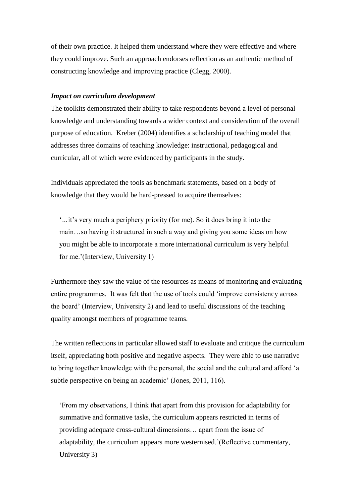of their own practice. It helped them understand where they were effective and where they could improve. Such an approach endorses reflection as an authentic method of constructing knowledge and improving practice (Clegg, 2000).

## *Impact on curriculum development*

The toolkits demonstrated their ability to take respondents beyond a level of personal knowledge and understanding towards a wider context and consideration of the overall purpose of education. Kreber (2004) identifies a scholarship of teaching model that addresses three domains of teaching knowledge: instructional, pedagogical and curricular, all of which were evidenced by participants in the study.

Individuals appreciated the tools as benchmark statements, based on a body of knowledge that they would be hard-pressed to acquire themselves:

'*…*it's very much a periphery priority (for me). So it does bring it into the main…so having it structured in such a way and giving you some ideas on how you might be able to incorporate a more international curriculum is very helpful for me.'(Interview, University 1)

Furthermore they saw the value of the resources as means of monitoring and evaluating entire programmes. It was felt that the use of tools could 'improve consistency across the board' (Interview, University 2) and lead to useful discussions of the teaching quality amongst members of programme teams.

The written reflections in particular allowed staff to evaluate and critique the curriculum itself, appreciating both positive and negative aspects. They were able to use narrative to bring together knowledge with the personal, the social and the cultural and afford 'a subtle perspective on being an academic' (Jones, 2011, 116).

'From my observations, I think that apart from this provision for adaptability for summative and formative tasks, the curriculum appears restricted in terms of providing adequate cross-cultural dimensions… apart from the issue of adaptability, the curriculum appears more westernised.'(Reflective commentary, University 3)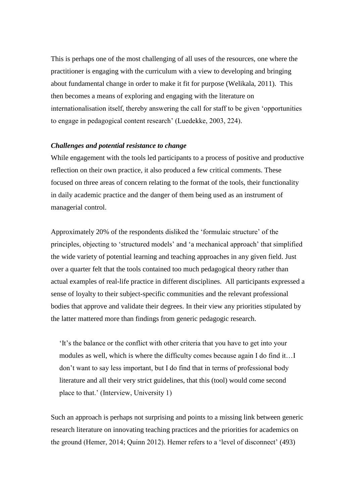This is perhaps one of the most challenging of all uses of the resources, one where the practitioner is engaging with the curriculum with a view to developing and bringing about fundamental change in order to make it fit for purpose (Welikala, 2011). This then becomes a means of exploring and engaging with the literature on internationalisation itself, thereby answering the call for staff to be given 'opportunities to engage in pedagogical content research' (Luedekke, 2003, 224).

## *Challenges and potential resistance to change*

While engagement with the tools led participants to a process of positive and productive reflection on their own practice, it also produced a few critical comments. These focused on three areas of concern relating to the format of the tools, their functionality in daily academic practice and the danger of them being used as an instrument of managerial control.

Approximately 20% of the respondents disliked the 'formulaic structure' of the principles, objecting to 'structured models' and 'a mechanical approach' that simplified the wide variety of potential learning and teaching approaches in any given field. Just over a quarter felt that the tools contained too much pedagogical theory rather than actual examples of real-life practice in different disciplines. All participants expressed a sense of loyalty to their subject-specific communities and the relevant professional bodies that approve and validate their degrees. In their view any priorities stipulated by the latter mattered more than findings from generic pedagogic research.

'It's the balance or the conflict with other criteria that you have to get into your modules as well, which is where the difficulty comes because again I do find it…I don't want to say less important, but I do find that in terms of professional body literature and all their very strict guidelines, that this (tool) would come second place to that.' (Interview, University 1)

Such an approach is perhaps not surprising and points to a missing link between generic research literature on innovating teaching practices and the priorities for academics on the ground (Hemer, 2014; Quinn 2012). Hemer refers to a 'level of disconnect' (493)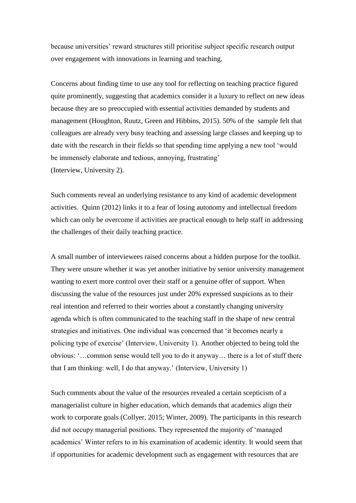because universities' reward structures still prioritise subject specific research output over engagement with innovations in learning and teaching.

Concerns about finding time to use any tool for reflecting on teaching practice figured quite prominently, suggesting that academics consider it a luxury to reflect on new ideas because they are so preoccupied with essential activities demanded by students and management (Houghton, Ruutz, Green and Hibbins, 2015). 50% of the sample felt that colleagues are already very busy teaching and assessing large classes and keeping up to date with the research in their fields so that spending time applying a new tool 'would be immensely elaborate and tedious, annoying, frustrating' (Interview, University 2).

Such comments reveal an underlying resistance to any kind of academic development activities. Quinn (2012) links it to a fear of losing autonomy and intellectual freedom which can only be overcome if activities are practical enough to help staff in addressing the challenges of their daily teaching practice.

A small number of interviewees raised concerns about a hidden purpose for the toolkit. They were unsure whether it was yet another initiative by senior university management wanting to exert more control over their staff or a genuine offer of support. When discussing the value of the resources just under 20% expressed suspicions as to their real intention and referred to their worries about a constantly changing university agenda which is often communicated to the teaching staff in the shape of new central strategies and initiatives. One individual was concerned that 'it becomes nearly a policing type of exercise' (Interview, University 1). Another objected to being told the obvious: '…common sense would tell you to do it anyway… there is a lot of stuff there that I am thinking: well, I do that anyway.' (Interview, University 1)

Such comments about the value of the resources revealed a certain scepticism of a managerialist culture in higher education, which demands that academics align their work to corporate goals (Collyer, 2015; Winter, 2009). The participants in this research did not occupy managerial positions. They represented the majority of 'managed academics' Winter refers to in his examination of academic identity. It would seem that if opportunities for academic development such as engagement with resources that are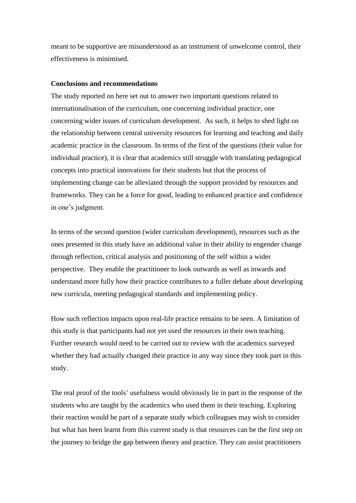meant to be supportive are misunderstood as an instrument of unwelcome control, their effectiveness is minimised.

## **Conclusions and recommendations**

The study reported on here set out to answer two important questions related to internationalisation of the curriculum, one concerning individual practice, one concerning wider issues of curriculum development. As such, it helps to shed light on the relationship between central university resources for learning and teaching and daily academic practice in the classroom. In terms of the first of the questions (their value for individual practice), it is clear that academics still struggle with translating pedagogical concepts into practical innovations for their students but that the process of implementing change can be alleviated through the support provided by resources and frameworks. They can be a force for good, leading to enhanced practice and confidence in one's judgment.

In terms of the second question (wider curriculum development), resources such as the ones presented in this study have an additional value in their ability to engender change through reflection, critical analysis and positioning of the self within a wider perspective. They enable the practitioner to look outwards as well as inwards and understand more fully how their practice contributes to a fuller debate about developing new curricula, meeting pedagogical standards and implementing policy.

How such reflection impacts upon real-life practice remains to be seen. A limitation of this study is that participants had not yet used the resources in their own teaching. Further research would need to be carried out to review with the academics surveyed whether they had actually changed their practice in any way since they took part in this study.

The real proof of the tools' usefulness would obviously lie in part in the response of the students who are taught by the academics who used them in their teaching. Exploring their reaction would be part of a separate study which colleagues may wish to consider but what has been learnt from this current study is that resources can be the first step on the journey to bridge the gap between theory and practice. They can assist practitioners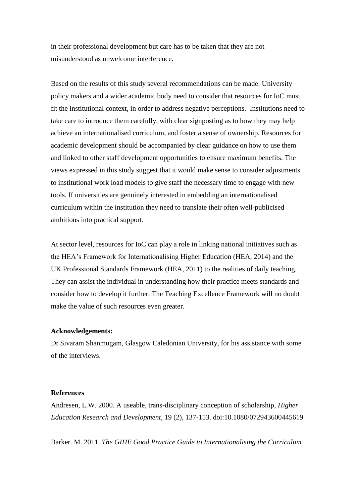in their professional development but care has to be taken that they are not misunderstood as unwelcome interference.

Based on the results of this study several recommendations can be made. University policy makers and a wider academic body need to consider that resources for IoC must fit the institutional context, in order to address negative perceptions. Institutions need to take care to introduce them carefully, with clear signposting as to how they may help achieve an internationalised curriculum, and foster a sense of ownership. Resources for academic development should be accompanied by clear guidance on how to use them and linked to other staff development opportunities to ensure maximum benefits. The views expressed in this study suggest that it would make sense to consider adjustments to institutional work load models to give staff the necessary time to engage with new tools. If universities are genuinely interested in embedding an internationalised curriculum within the institution they need to translate their often well-publicised ambitions into practical support.

At sector level, resources for IoC can play a role in linking national initiatives such as the HEA's Framework for Internationalising Higher Education (HEA, 2014) and the UK Professional Standards Framework (HEA, 2011) to the realities of daily teaching. They can assist the individual in understanding how their practice meets standards and consider how to develop it further. The Teaching Excellence Framework will no doubt make the value of such resources even greater.

#### **Acknowledgements:**

Dr Sivaram Shanmugam, Glasgow Caledonian University, for his assistance with some of the interviews.

#### **References**

Andresen, L.W. 2000. A useable, trans-disciplinary conception of scholarship, *Higher Education Research and Development*, 19 (2), 137-153. doi:10.1080/072943600445619

Barker. M. 2011. *The GIHE Good Practice Guide to Internationalising the Curriculum*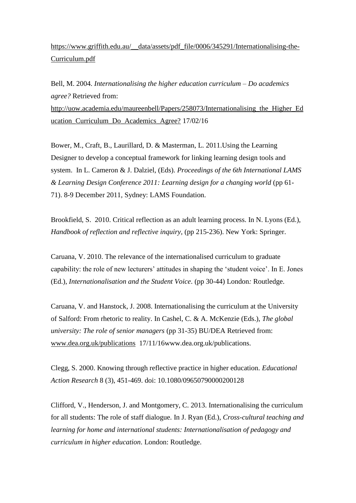## [https://www.griffith.edu.au/\\_\\_data/assets/pdf\\_file/0006/345291/Internationalising-the-](https://www.griffith.edu.au/__data/assets/pdf_file/0006/345291/Internationalising-the-Curriculum.pdf)[Curriculum.pdf](https://www.griffith.edu.au/__data/assets/pdf_file/0006/345291/Internationalising-the-Curriculum.pdf)

Bell, M. 2004. *Internationalising the higher education curriculum – Do academics agree?* Retrieved from: [http://uow.academia.edu/maureenbell/Papers/258073/Internationalising\\_the\\_Higher\\_Ed](http://uow.academia.edu/maureenbell/Papers/258073/Internationalising_the_Higher_Education_Curriculum_Do_Academics_Agree%20?%20%20%20%20) [ucation\\_Curriculum\\_Do\\_Academics\\_Agree?](http://uow.academia.edu/maureenbell/Papers/258073/Internationalising_the_Higher_Education_Curriculum_Do_Academics_Agree%20?%20%20%20%20) 17/02/16

Bower, M., Craft, B., Laurillard, D. & Masterman, L. 2011.Using the Learning Designer to develop a conceptual framework for linking learning design tools and system. In L. Cameron & J. Dalziel, (Eds). *Proceedings of the 6th International LAMS & Learning Design Conference 2011: Learning design for a changing world* (pp 61- 71). 8-9 December 2011, Sydney: LAMS Foundation.

Brookfield, S. 2010. Critical reflection as an adult learning process. In N. Lyons (Ed.), *Handbook of reflection and reflective inquiry,* (pp 215-236). New York: Springer.

Caruana, V. 2010. The relevance of the internationalised curriculum to graduate capability: the role of new lecturers' attitudes in shaping the 'student voice'. In E. Jones (Ed.), *Internationalisation and the Student Voice*. (pp 30-44) London*:* Routledge.

Caruana, V. and Hanstock, J. 2008. Internationalising the curriculum at the University of Salford: From rhetoric to reality. In Cashel, C. & A. McKenzie (Eds.), *The global university: The role of senior managers* (pp 31-35) BU/DEA Retrieved from: [www.dea.org.uk/publications](http://www.dea.org.uk/publications) 17/11/16www.dea.org.uk/publications.

Clegg, S. 2000. Knowing through reflective practice in higher education. *Educational Action Research* 8 (3), 451-469. doi: 10.1080/09650790000200128

Clifford, V., Henderson, J. and Montgomery, C. 2013. Internationalising the curriculum for all students: The role of staff dialogue. In J. Ryan (Ed.), *Cross-cultural teaching and learning for home and international students: Internationalisation of pedagogy and curriculum in higher education*. London: Routledge.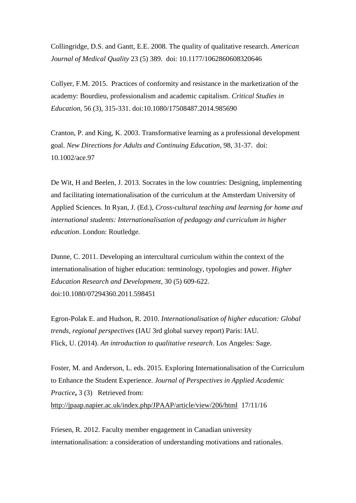Collingridge, D.S. and Gantt, E.E. 2008. The quality of qualitative research. *American Journal of Medical Quality* 23 (5) 389. doi: 10.1177/1062860608320646

Collyer, F.M. 2015. Practices of conformity and resistance in the marketization of the academy: Bourdieu, professionalism and academic capitalism. *Critical Studies in Education*, 56 (3), 315-331. doi:10.1080/17508487.2014.985690

Cranton, P. and King, K. 2003. Transformative learning as a professional development goal. *New Directions for Adults and Continuing Education*, 98, 31-37. doi: 10.1002/ace.97

De Wit, H and Beelen, J. 2013. Socrates in the low countries: Designing, implementing and facilitating internationalisation of the curriculum at the Amsterdam University of Applied Sciences. In Ryan, J. (Ed.), *Cross-cultural teaching and learning for home and international students: Internationalisation of pedagogy and curriculum in higher education*. London: Routledge.

Dunne, C. 2011. Developing an intercultural curriculum within the context of the internationalisation of higher education: terminology, typologies and power. *Higher Education Research and Development*, 30 (5) 609-622. doi:10.1080/07294360.2011.598451

Egron-Polak E. and Hudson, R. 2010. *Internationalisation of higher education: Global trends, regional perspectives* (IAU 3rd global survey report) Paris: IAU. Flick, U. (2014). *An introduction to qualitative research*. Los Angeles: Sage.

Foster, M. and Anderson, L. eds. 2015. Exploring Internationalisation of the Curriculum to Enhance the Student Experience. *Journal of Perspectives in Applied Academic Practice***,** 3 (3) Retrieved from: <http://jpaap.napier.ac.uk/index.php/JPAAP/article/view/206/html>17/11/16

Friesen, R. 2012. Faculty member engagement in Canadian university internationalisation: a consideration of understanding motivations and rationales.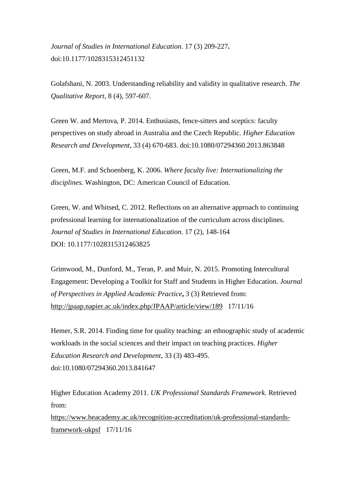*Journal of Studies in International Education*. 17 (3) 209-227**.**  doi:10.1177/1028315312451132

Golafshani, N. 2003. Understanding reliability and validity in qualitative research. *The Qualitative Report*, 8 (4), 597-607.

Green W. and Mertova, P. 2014. Enthusiasts, fence-sitters and sceptics: faculty perspectives on study abroad in Australia and the Czech Republic. *Higher Education Research and Development*, 33 (4) 670-683. doi:10.1080/07294360.2013.863848

Green, M.F. and Schoenberg, K. 2006. *Where faculty live: Internationalizing the disciplines.* Washington, DC: American Council of Education.

Green, W. and Whitsed, C. 2012. Reflections on an alternative approach to continuing professional learning for internationalization of the curriculum across disciplines. *Journal of Studies in International Education*. 17 (2), 148-164 DOI: 10.1177/1028315312463825

Grimwood, M., Dunford, M., Teran, P. and Muir, N. 2015. Promoting Intercultural Engagement: Developing a Toolkit for Staff and Students in Higher Education. *Journal of Perspectives in Applied Academic Practice***,** 3 (3) Retrieved from: <http://jpaap.napier.ac.uk/index.php/JPAAP/article/view/189>17/11/16

Hemer, S.R. 2014. Finding time for quality teaching: an ethnographic study of academic workloads in the social sciences and their impact on teaching practices. *Higher Education Research and Development*, 33 (3) 483-495. doi:10.1080/07294360.2013.841647

Higher Education Academy 2011. *UK Professional Standards Framework.* Retrieved from: [https://www.heacademy.ac.uk/recognition-accreditation/uk-professional-standards](https://www.heacademy.ac.uk/recognition-accreditation/uk-professional-standards-framework-ukpsf)[framework-ukpsf](https://www.heacademy.ac.uk/recognition-accreditation/uk-professional-standards-framework-ukpsf) 17/11/16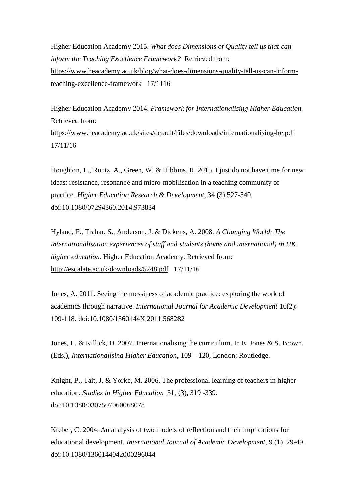Higher Education Academy 2015. *What does Dimensions of Quality tell us that can inform the Teaching Excellence Framework?* Retrieved from: [https://www.heacademy.ac.uk/blog/what-does-dimensions-quality-tell-us-can-inform](https://www.heacademy.ac.uk/blog/what-does-dimensions-quality-tell-us-can-inform-teaching-excellence-framework)[teaching-excellence-framework](https://www.heacademy.ac.uk/blog/what-does-dimensions-quality-tell-us-can-inform-teaching-excellence-framework) 17/1116

Higher Education Academy 2014. *Framework for Internationalising Higher Education.*  Retrieved from: <https://www.heacademy.ac.uk/sites/default/files/downloads/internationalising-he.pdf> 17/11/16

Houghton, L., Ruutz, A., Green, W. & Hibbins, R. 2015. I just do not have time for new ideas: resistance, resonance and micro-mobilisation in a teaching community of practice. *Higher Education Research & Development*, 34 (3) 527-540. doi:10.1080/07294360.2014.973834

Hyland, F., Trahar, S., Anderson, J. & Dickens, A. 2008. *A Changing World: The internationalisation experiences of staff and students (home and international) in UK higher education.* Higher Education Academy. Retrieved from: <http://escalate.ac.uk/downloads/5248.pdf>17/11/16

Jones, A. 2011. Seeing the messiness of academic practice: exploring the work of academics through narrative. *International Journal for Academic Development* 16(2): 109-118. doi:10.1080/1360144X.2011.568282

Jones, E. & Killick, D. 2007. Internationalising the curriculum. In E. Jones & S. Brown. (Eds.), *Internationalising Higher Education*, 109 – 120, London: Routledge.

Knight, P., Tait, J. & Yorke, M. 2006. The professional learning of teachers in higher education. *Studies in Higher Education* [31,](http://www.tandfonline.com/loi/cshe20?open=31#vol_31) [\(3\)](http://www.tandfonline.com/toc/cshe20/31/3), 319 -339. doi:10.1080/0307507060068078

Kreber, C. 2004. An analysis of two models of reflection and their implications for educational development. *International Journal of Academic Development*, 9 (1), 29-49. doi:10.1080/1360144042000296044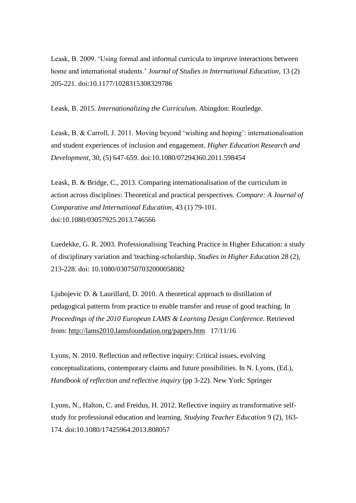Leask, B. 2009. 'Using formal and informal curricula to improve interactions between home and international students.' *Journal of Studies in International Education*, 13 (2) 205-221. doi:10.1177/1028315308329786

Leask, B. 2015. *Internationalizing the Curriculum*. Abingdon: Routledge.

Leask, B. & Carroll, J. 2011. Moving beyond 'wishing and hoping': internationalisation and student experiences of inclusion and engagement. *Higher Education Research and Development*, 30, (5) 647-659. doi:10.1080/07294360.2011.598454

Leask, B. & Bridge, C., 2013. Comparing internationalisation of the curriculum in action across disciplines: Theoretical and practical perspectives. *Compare: A Journal of Comparative and International Education*, 43 (1) 79-101. doi:10.1080/03057925.2013.746566

Luedekke, G. R. 2003. Professionalising Teaching Practice in Higher Education: a study of disciplinary variation and 'teaching-scholarship. *Studies in Higher Education* 28 (2), 213-228. doi: 10.1080/0307507032000058082

Ljubojevic D. & Laurillard, D. 2010. A theoretical approach to distillation of pedagogical patterns from practice to enable transfer and reuse of good teaching. In *Proceedings of the 2010 European LAMS & Learning Design Conference.* Retrieved from:<http://lams2010.lamsfoundation.org/papers.htm>17/11/16

Lyons, N. 2010. Reflection and reflective inquiry: Critical issues, evolving conceptualizations, contemporary claims and future possibilities. In N. Lyons, (Ed.), *Handbook of reflection and reflective inquiry* (pp 3-22). New York: Springer

Lyons, N., Halton, C. and Freidus, H. 2012. Reflective inquiry as transformative selfstudy for professional education and learning. *Studying Teacher Education* 9 (2), 163- 174. doi:10.1080/17425964.2013.808057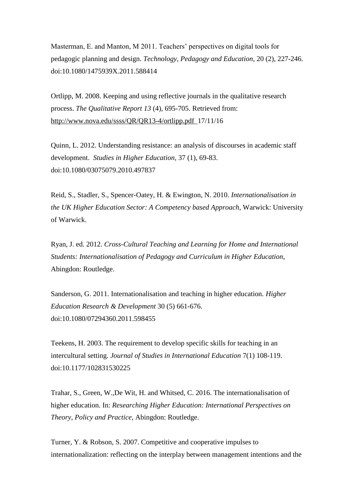Masterman, E. and Manton, M 2011. Teachers' perspectives on digital tools for pedagogic planning and design. *Technology, Pedagogy and Education*, 20 (2), 227-246. doi:10.1080/1475939X.2011.588414

Ortlipp, M. 2008. Keeping and using reflective journals in the qualitative research process. *The Qualitative Report 13* (4), 695-705. Retrieved from: <http://www.nova.edu/ssss/QR/QR13-4/ortlipp.pdf>17/11/16

Quinn, L. 2012. Understanding resistance: an analysis of discourses in academic staff development. *Studies in Higher Education*, 37 (1), 69-83. doi:10.1080/03075079.2010.497837

Reid, S., Stadler, S., Spencer-Oatey, H. & Ewington, N. 2010. *Internationalisation in the UK Higher Education Sector: A Competency based Approach*, Warwick: University of Warwick.

Ryan, J. ed. 2012. *Cross-Cultural Teaching and Learning for Home and International Students: Internationalisation of Pedagogy and Curriculum in Higher Education*, Abingdon: Routledge.

Sanderson, G. 2011. Internationalisation and teaching in higher education. *Higher Education Research & Development* 30 (5) 661-676. doi:10.1080/07294360.2011.598455

Teekens, H. 2003. The requirement to develop specific skills for teaching in an intercultural setting. *Journal of Studies in International Education* 7(1) 108-119. doi:10.1177/102831530225

Trahar, S., Green, W.,De Wit, H. and Whitsed, C. 2016. The internationalisation of higher education. In: *Researching Higher Education: International Perspectives on Theory, Policy and Practice*, Abingdon: Routledge.

Turner, Y. & Robson, S. 2007. Competitive and cooperative impulses to internationalization: reflecting on the interplay between management intentions and the